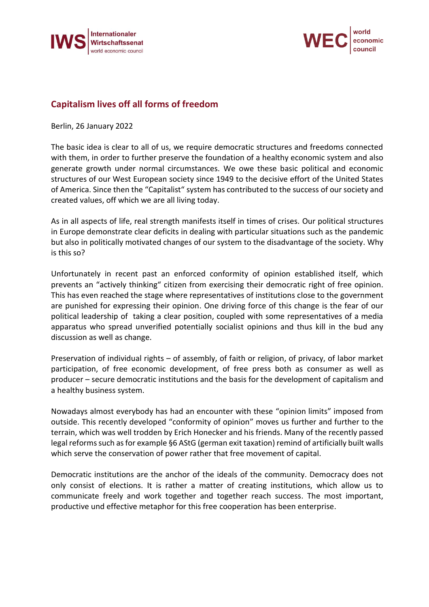



## **Capitalism lives off all forms of freedom**

Berlin, 26 January 2022

The basic idea is clear to all of us, we require democratic structures and freedoms connected with them, in order to further preserve the foundation of a healthy economic system and also generate growth under normal circumstances. We owe these basic political and economic structures of our West European society since 1949 to the decisive effort of the United States of America. Since then the "Capitalist" system has contributed to the success of our society and created values, off which we are all living today.

As in all aspects of life, real strength manifests itself in times of crises. Our political structures in Europe demonstrate clear deficits in dealing with particular situations such as the pandemic but also in politically motivated changes of our system to the disadvantage of the society. Why is this so?

Unfortunately in recent past an enforced conformity of opinion established itself, which prevents an "actively thinking" citizen from exercising their democratic right of free opinion. This has even reached the stage where representatives of institutions close to the government are punished for expressing their opinion. One driving force of this change is the fear of our political leadership of taking a clear position, coupled with some representatives of a media apparatus who spread unverified potentially socialist opinions and thus kill in the bud any discussion as well as change.

Preservation of individual rights – of assembly, of faith or religion, of privacy, of labor market participation, of free economic development, of free press both as consumer as well as producer – secure democratic institutions and the basis for the development of capitalism and a healthy business system.

Nowadays almost everybody has had an encounter with these "opinion limits" imposed from outside. This recently developed "conformity of opinion" moves us further and further to the terrain, which was well trodden by Erich Honecker and his friends. Many of the recently passed legal reforms such as for example §6 AStG (german exit taxation) remind of artificially built walls which serve the conservation of power rather that free movement of capital.

Democratic institutions are the anchor of the ideals of the community. Democracy does not only consist of elections. It is rather a matter of creating institutions, which allow us to communicate freely and work together and together reach success. The most important, productive und effective metaphor for this free cooperation has been enterprise.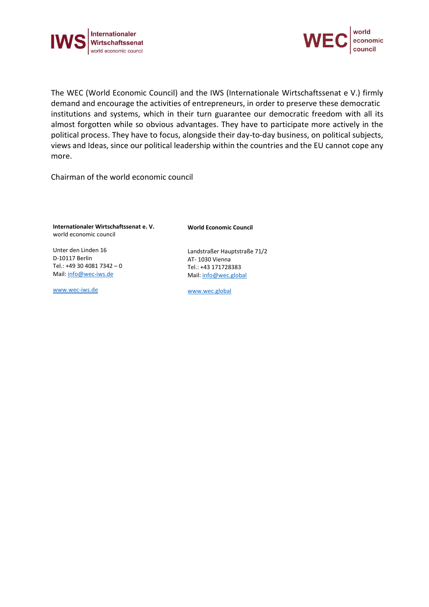



The WEC (World Economic Council) and the IWS (Internationale Wirtschaftssenat e V.) firmly demand and encourage the activities of entrepreneurs, in order to preserve these democratic institutions and systems, which in their turn guarantee our democratic freedom with all its almost forgotten while so obvious advantages. They have to participate more actively in the political process. They have to focus, alongside their day-to-day business, on political subjects, views and Ideas, since our political leadership within the countries and the EU cannot cope any more.

Chairman of the world economic council

**Internationaler Wirtschaftssenat e. V.** world economic council

Unter den Linden 16 D-10117 Berlin Tel.: +49 30 4081 7342 – 0 Mail: [info@wec-iws.de](mailto:info@wec-iws.de)

[www.wec-iws.de](http://www.wec-iws.de/)

**World Economic Council**

Landstraßer Hauptstraße 71/2 AT- 1030 Vienna Tel.: +43 171728383 Mail: [info@wec.global](file://///server/iws/Presse/2022/Pressebox/Januar%202022/Statement%20Thomas%20Limberger/info@wec.global)

[www.wec.global](http://www.wec.global/)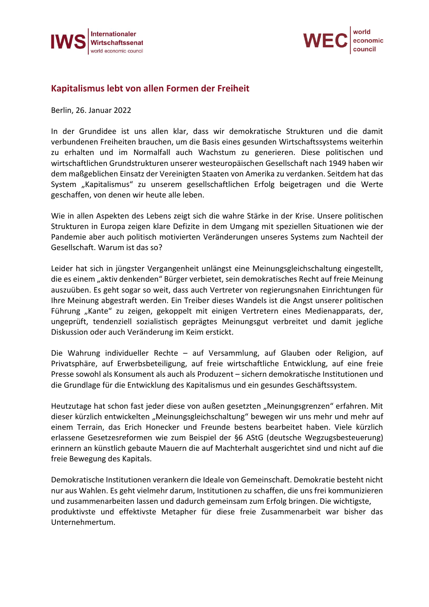



## **Kapitalismus lebt von allen Formen der Freiheit**

Berlin, 26. Januar 2022

In der Grundidee ist uns allen klar, dass wir demokratische Strukturen und die damit verbundenen Freiheiten brauchen, um die Basis eines gesunden Wirtschaftssystems weiterhin zu erhalten und im Normalfall auch Wachstum zu generieren. Diese politischen und wirtschaftlichen Grundstrukturen unserer westeuropäischen Gesellschaft nach 1949 haben wir dem maßgeblichen Einsatz der Vereinigten Staaten von Amerika zu verdanken. Seitdem hat das System "Kapitalismus" zu unserem gesellschaftlichen Erfolg beigetragen und die Werte geschaffen, von denen wir heute alle leben.

Wie in allen Aspekten des Lebens zeigt sich die wahre Stärke in der Krise. Unsere politischen Strukturen in Europa zeigen klare Defizite in dem Umgang mit speziellen Situationen wie der Pandemie aber auch politisch motivierten Veränderungen unseres Systems zum Nachteil der Gesellschaft. Warum ist das so?

Leider hat sich in jüngster Vergangenheit unlängst eine Meinungsgleichschaltung eingestellt, die es einem "aktiv denkenden" Bürger verbietet, sein demokratisches Recht auf freie Meinung auszuüben. Es geht sogar so weit, dass auch Vertreter von regierungsnahen Einrichtungen für Ihre Meinung abgestraft werden. Ein Treiber dieses Wandels ist die Angst unserer politischen Führung "Kante" zu zeigen, gekoppelt mit einigen Vertretern eines Medienapparats, der, ungeprüft, tendenziell sozialistisch geprägtes Meinungsgut verbreitet und damit jegliche Diskussion oder auch Veränderung im Keim erstickt.

Die Wahrung individueller Rechte – auf Versammlung, auf Glauben oder Religion, auf Privatsphäre, auf Erwerbsbeteiligung, auf freie wirtschaftliche Entwicklung, auf eine freie Presse sowohl als Konsument als auch als Produzent – sichern demokratische Institutionen und die Grundlage für die Entwicklung des Kapitalismus und ein gesundes Geschäftssystem.

Heutzutage hat schon fast jeder diese von außen gesetzten "Meinungsgrenzen" erfahren. Mit dieser kürzlich entwickelten "Meinungsgleichschaltung" bewegen wir uns mehr und mehr auf einem Terrain, das Erich Honecker und Freunde bestens bearbeitet haben. Viele kürzlich erlassene Gesetzesreformen wie zum Beispiel der §6 AStG (deutsche Wegzugsbesteuerung) erinnern an künstlich gebaute Mauern die auf Machterhalt ausgerichtet sind und nicht auf die freie Bewegung des Kapitals.

Demokratische Institutionen verankern die Ideale von Gemeinschaft. Demokratie besteht nicht nur aus Wahlen. Es geht vielmehr darum, Institutionen zu schaffen, die uns frei kommunizieren und zusammenarbeiten lassen und dadurch gemeinsam zum Erfolg bringen. Die wichtigste, produktivste und effektivste Metapher für diese freie Zusammenarbeit war bisher das Unternehmertum.